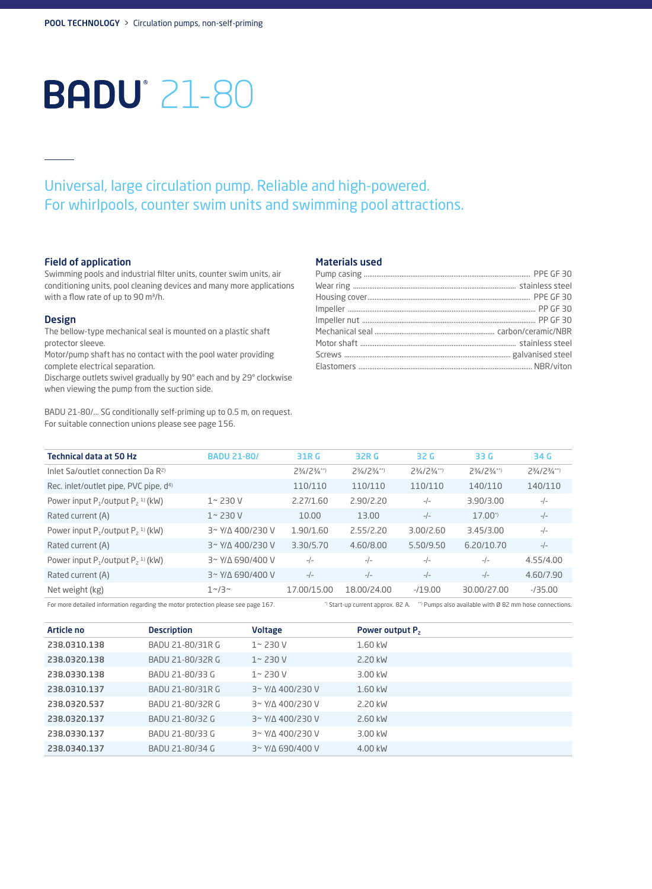# **BADU**<sup>21-80</sup>

## Universal, large circulation pump. Reliable and high-powered. For whirlpools, counter swim units and swimming pool attractions.

### Field of application

Swimming pools and industrial filter units, counter swim units, air conditioning units, pool cleaning devices and many more applications with a flow rate of up to 90 m<sup>3</sup>/h.

#### Design

The bellow-type mechanical seal is mounted on a plastic shaft protector sleeve.

Motor/pump shaft has no contact with the pool water providing complete electrical separation.

Discharge outlets swivel gradually by 90° each and by 29° clockwise when viewing the pump from the suction side.

BADU 21-80/... SG conditionally self-priming up to 0.5 m, on request. For suitable connection unions please see page 156.

#### Materials used

| <b>Technical data at 50 Hz</b>                     | <b>BADU 21-80/</b>  | 31R G                       | 32R G                       | 32 G                        | 33 G                        | 34 G                        |
|----------------------------------------------------|---------------------|-----------------------------|-----------------------------|-----------------------------|-----------------------------|-----------------------------|
| Inlet Sa/outlet connection Da $R^{2}$              |                     | $2\frac{3}{4}/2\frac{3}{4}$ | $2\frac{3}{4}/2\frac{3}{4}$ | $2\frac{3}{4}/2\frac{3}{4}$ | $2\frac{3}{4}/2\frac{3}{4}$ | $2\frac{3}{4}/2\frac{3}{4}$ |
| Rec. inlet/outlet pipe, PVC pipe, d <sup>4)</sup>  |                     | 110/110                     | 110/110                     | 110/110                     | 140/110                     | 140/110                     |
| Power input $P_1$ /output $P_2$ <sup>1)</sup> (kW) | $1 - 230V$          | 2.27/1.60                   | 2.90/2.20                   | $-/-$                       | 3.90/3.00                   | $-/-$                       |
| Rated current (A)                                  | $1 - 230V$          | 10.00                       | 13.00                       | $-/-$                       | $17.00^{*}$                 | $-/-$                       |
| Power input $P_1$ /output $P_2$ <sup>1)</sup> (kW) | 3~ Y/A 400/230 V    | 1.90/1.60                   | 2.55/2.20                   | 3.00/2.60                   | 3.45/3.00                   | $-/-$                       |
| Rated current (A)                                  | $3 - Y/A$ 400/230 V | 3.30/5.70                   | 4.60/8.00                   | 5.50/9.50                   | 6.20/10.70                  | $-/-$                       |
| Power input $P_1$ /output $P_2$ <sup>1)</sup> (kW) | $3 - Y/A 690/400 V$ | $-/-$                       | $-/-$                       | $-/-$                       | $-/-$                       | 4.55/4.00                   |
| Rated current (A)                                  | 3~ Y/A 690/400 V    | $-/-$                       | $-/-$                       | $-/-$                       | $-/-$                       | 4.60/7.90                   |
| Net weight (kg)                                    | $1^{\sim}/3^{\sim}$ | 17.00/15.00                 | 18.00/24.00                 | $-19.00$                    | 30.00/27.00                 | $-735.00$                   |

For more detailed information regarding the motor protection please see page 167. <sup>3</sup> Start-up current approx. 82 A. \*\*\* Pumps also available with Ø 82 mm hose connections.

| Article no   | <b>Description</b> | <b>Voltage</b>             | Power output P <sub>2</sub> |
|--------------|--------------------|----------------------------|-----------------------------|
| 238.0310.138 | BADU 21-80/31R G   | $1 - 230V$                 | 1.60 kW                     |
| 238.0320.138 | BADU 21-80/32R G   | $1 - 230V$                 | 2.20 kW                     |
| 238.0330.138 | BADU 21-80/33 G    | $1 - 230V$                 | 3.00 kW                     |
| 238.0310.137 | BADU 21-80/31R G   | $3 \sim Y/N$ 400/230 V     | $1.60$ kW                   |
| 238.0320.537 | BADU 21-80/32R G   | 3~ Y/A 400/230 V           | 2.20 kW                     |
| 238.0320.137 | BADU 21-80/32 G    | $3 \sim Y/N$ 400/230 V     | 2.60 kW                     |
| 238.0330.137 | BADU 21-80/33 G    | 3~ Y/A 400/230 V           | 3.00 kW                     |
| 238.0340.137 | BADU 21-80/34 G    | $3'$ Y/ $\Delta$ 690/400 V | 4.00 kW                     |